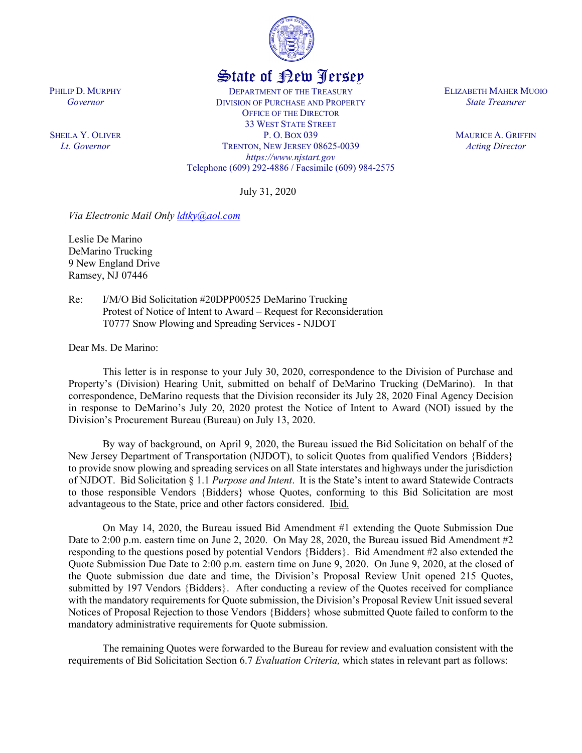

## State of New Jersey

DEPARTMENT OF THE TREASURY DIVISION OF PURCHASE AND PROPERTY OFFICE OF THE DIRECTOR 33 WEST STATE STREET P. O. BOX 039 TRENTON, NEW JERSEY 08625-0039 *https://www.njstart.gov* Telephone (609) 292-4886 / Facsimile (609) 984-2575

July 31, 2020

*Via Electronic Mail Only [ldtky@aol.com](mailto:ldtky@aol.com)*

Leslie De Marino DeMarino Trucking 9 New England Drive Ramsey, NJ 07446

PHILIP D. MURPHY *Governor*

SHEILA Y. OLIVER *Lt. Governor*

> Re: I/M/O Bid Solicitation #20DPP00525 DeMarino Trucking Protest of Notice of Intent to Award – Request for Reconsideration T0777 Snow Plowing and Spreading Services - NJDOT

Dear Ms. De Marino:

This letter is in response to your July 30, 2020, correspondence to the Division of Purchase and Property's (Division) Hearing Unit, submitted on behalf of DeMarino Trucking (DeMarino). In that correspondence, DeMarino requests that the Division reconsider its July 28, 2020 Final Agency Decision in response to DeMarino's July 20, 2020 protest the Notice of Intent to Award (NOI) issued by the Division's Procurement Bureau (Bureau) on July 13, 2020.

By way of background, on April 9, 2020, the Bureau issued the Bid Solicitation on behalf of the New Jersey Department of Transportation (NJDOT), to solicit Quotes from qualified Vendors {Bidders} to provide snow plowing and spreading services on all State interstates and highways under the jurisdiction of NJDOT. Bid Solicitation § 1.1 *Purpose and Intent*. It is the State's intent to award Statewide Contracts to those responsible Vendors {Bidders} whose Quotes, conforming to this Bid Solicitation are most advantageous to the State, price and other factors considered. Ibid.

On May 14, 2020, the Bureau issued Bid Amendment #1 extending the Quote Submission Due Date to 2:00 p.m. eastern time on June 2, 2020. On May 28, 2020, the Bureau issued Bid Amendment #2 responding to the questions posed by potential Vendors {Bidders}. Bid Amendment #2 also extended the Quote Submission Due Date to 2:00 p.m. eastern time on June 9, 2020. On June 9, 2020, at the closed of the Quote submission due date and time, the Division's Proposal Review Unit opened 215 Quotes, submitted by 197 Vendors {Bidders}. After conducting a review of the Quotes received for compliance with the mandatory requirements for Quote submission, the Division's Proposal Review Unit issued several Notices of Proposal Rejection to those Vendors {Bidders} whose submitted Quote failed to conform to the mandatory administrative requirements for Quote submission.

The remaining Quotes were forwarded to the Bureau for review and evaluation consistent with the requirements of Bid Solicitation Section 6.7 *Evaluation Criteria,* which states in relevant part as follows:

ELIZABETH MAHER MUOIO *State Treasurer*

> MAURICE A. GRIFFIN *Acting Director*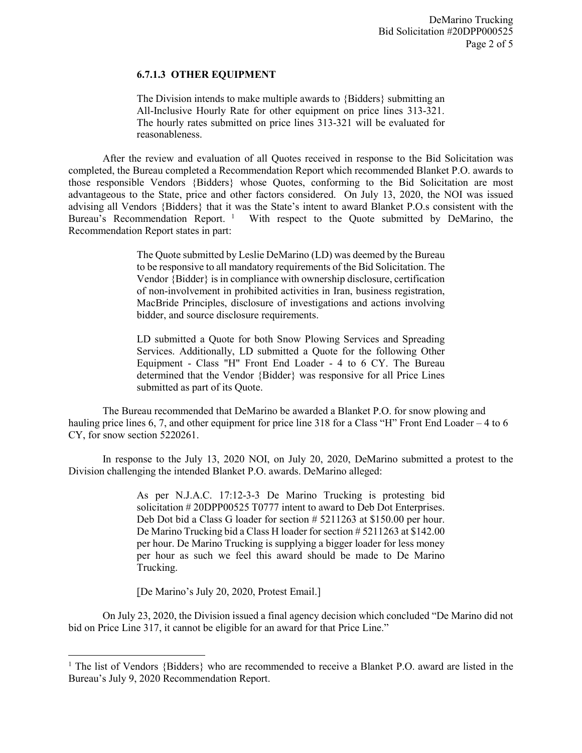DeMarino Trucking Bid Solicitation #20DPP000525 Page 2 of 5

## **6.7.1.3 OTHER EQUIPMENT**

The Division intends to make multiple awards to {Bidders} submitting an All-Inclusive Hourly Rate for other equipment on price lines 313-321. The hourly rates submitted on price lines 313-321 will be evaluated for reasonableness.

After the review and evaluation of all Quotes received in response to the Bid Solicitation was completed, the Bureau completed a Recommendation Report which recommended Blanket P.O. awards to those responsible Vendors {Bidders} whose Quotes, conforming to the Bid Solicitation are most advantageous to the State, price and other factors considered. On July 13, 2020, the NOI was issued advising all Vendors {Bidders} that it was the State's intent to award Blanket P.O.s consistent with the Bureau's Recommendation Report.<sup>[1](#page-1-0)</sup> With respect to the Quote submitted by DeMarino, the Recommendation Report states in part:

> The Quote submitted by Leslie DeMarino (LD) was deemed by the Bureau to be responsive to all mandatory requirements of the Bid Solicitation. The Vendor {Bidder} is in compliance with ownership disclosure, certification of non-involvement in prohibited activities in Iran, business registration, MacBride Principles, disclosure of investigations and actions involving bidder, and source disclosure requirements.

> LD submitted a Quote for both Snow Plowing Services and Spreading Services. Additionally, LD submitted a Quote for the following Other Equipment - Class "H" Front End Loader - 4 to 6 CY. The Bureau determined that the Vendor {Bidder} was responsive for all Price Lines submitted as part of its Quote.

The Bureau recommended that DeMarino be awarded a Blanket P.O. for snow plowing and hauling price lines 6, 7, and other equipment for price line 318 for a Class "H" Front End Loader – 4 to 6 CY, for snow section 5220261.

In response to the July 13, 2020 NOI, on July 20, 2020, DeMarino submitted a protest to the Division challenging the intended Blanket P.O. awards. DeMarino alleged:

> As per N.J.A.C. 17:12-3-3 De Marino Trucking is protesting bid solicitation # 20DPP00525 T0777 intent to award to Deb Dot Enterprises. Deb Dot bid a Class G loader for section # 5211263 at \$150.00 per hour. De Marino Trucking bid a Class H loader for section # 5211263 at \$142.00 per hour. De Marino Trucking is supplying a bigger loader for less money per hour as such we feel this award should be made to De Marino Trucking.

[De Marino's July 20, 2020, Protest Email.]

l

On July 23, 2020, the Division issued a final agency decision which concluded "De Marino did not bid on Price Line 317, it cannot be eligible for an award for that Price Line."

<span id="page-1-0"></span><sup>&</sup>lt;sup>1</sup> The list of Vendors {Bidders} who are recommended to receive a Blanket P.O. award are listed in the Bureau's July 9, 2020 Recommendation Report.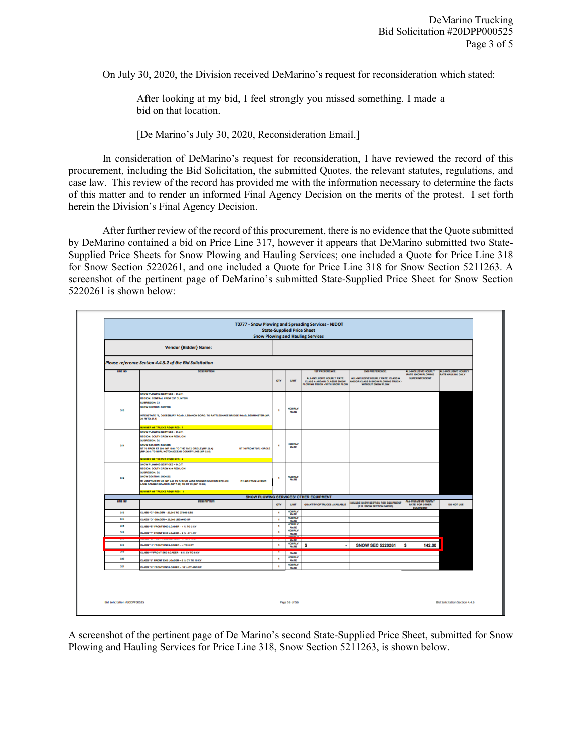On July 30, 2020, the Division received DeMarino's request for reconsideration which stated:

After looking at my bid, I feel strongly you missed something. I made a bid on that location.

[De Marino's July 30, 2020, Reconsideration Email.]

In consideration of DeMarino's request for reconsideration, I have reviewed the record of this procurement, including the Bid Solicitation, the submitted Quotes, the relevant statutes, regulations, and case law. This review of the record has provided me with the information necessary to determine the facts of this matter and to render an informed Final Agency Decision on the merits of the protest. I set forth herein the Division's Final Agency Decision.

After further review of the record of this procurement, there is no evidence that the Quote submitted by DeMarino contained a bid on Price Line 317, however it appears that DeMarino submitted two State-Supplied Price Sheets for Snow Plowing and Hauling Services; one included a Quote for Price Line 318 for Snow Section 5220261, and one included a Quote for Price Line 318 for Snow Section 5211263. A screenshot of the pertinent page of DeMarino's submitted State-Supplied Price Sheet for Snow Section 5220261 is shown below:

|                | <b>Vendor {Bidder} Name:</b>                                                                                            |                |                              |                                                                                                    |                                                                                              |                                                                  |                                                  |
|----------------|-------------------------------------------------------------------------------------------------------------------------|----------------|------------------------------|----------------------------------------------------------------------------------------------------|----------------------------------------------------------------------------------------------|------------------------------------------------------------------|--------------------------------------------------|
|                |                                                                                                                         |                |                              |                                                                                                    |                                                                                              |                                                                  |                                                  |
|                | Please reference Section 4.4.5.2 of the Bid Solicitation                                                                |                |                              |                                                                                                    |                                                                                              |                                                                  |                                                  |
| <b>LINE NO</b> | <b>DESCRIPTION</b>                                                                                                      |                |                              | <b>1ST PREFERENCE:</b>                                                                             | 2ND PREFERENCE:                                                                              | ALL-INCLUSIVE HOURLY<br><b>RATE SNOW PLOWING</b>                 | ALL-INCLUSIVE HOURLY<br><b>RATE HAULING ONLY</b> |
|                |                                                                                                                         | arr            | <b>UNIT</b>                  | ALL-INCLUSIVE HOURLY RATE:<br><b>CLASS A AND/OR CLASS B SNOW</b><br>PLOWING TRUCK - WITH SNOW PLOW | ALL-INCLUSIVE HOURLY RATE: CLASS A<br>AND/OR CLASS B SNOW PLOWING TRUCK<br>WITHOUT SNOW PLOW | <b>SUPERINTENDENT</b>                                            |                                                  |
|                | SNOW PLOWING SERVICES - D.O.T.                                                                                          |                |                              |                                                                                                    |                                                                                              |                                                                  |                                                  |
|                | <b>REGION: CENTRAL CREW 337 CLINTON</b><br>SUBREGION: C1                                                                |                |                              |                                                                                                    |                                                                                              |                                                                  |                                                  |
|                | SNOW SECTION: 5337266                                                                                                   |                | <b>HOURLY</b>                |                                                                                                    |                                                                                              |                                                                  |                                                  |
| 310            |                                                                                                                         | $\blacksquare$ | <b>RATE</b>                  |                                                                                                    |                                                                                              |                                                                  |                                                  |
|                | INTERSTATE 78, COKESBURY ROAD, LEBANON BORO. TO RATTLESNAKE BRIDGE ROAD, BEDMINSTER (MP.<br>20.78 TO 27.1)              |                |                              |                                                                                                    |                                                                                              |                                                                  |                                                  |
|                |                                                                                                                         |                |                              |                                                                                                    |                                                                                              |                                                                  |                                                  |
|                | <b>IUMBER OF TRUCKS REQUIRED: 7</b><br>SNOW PLOWING SERVICES - D.O.T.                                                   |                |                              |                                                                                                    |                                                                                              |                                                                  |                                                  |
| 311            | REGION: SOUTH CREW 434 RED LION                                                                                         |                |                              |                                                                                                    |                                                                                              |                                                                  |                                                  |
|                | SUBREGION: S2                                                                                                           |                | <b>HOURLY</b>                |                                                                                                    |                                                                                              |                                                                  |                                                  |
|                | SNOW SECTION: 5434265<br>RT 70 FROM RT 206 (MP 18.6) TO THE 70/72 CIRCLE (MP 26.4)<br>RT 70 FROM 70/72 CIRCLE           | ٠              | <b>RATE</b>                  |                                                                                                    |                                                                                              |                                                                  |                                                  |
|                | (MP 26.4) TO BURLINGTON/OCEAN COUNTY LINE (MP 33.5)                                                                     |                |                              |                                                                                                    |                                                                                              |                                                                  |                                                  |
|                | NUMBER OF TRUCKS REQUIRED: 4                                                                                            |                |                              |                                                                                                    |                                                                                              |                                                                  |                                                  |
|                | SNOW PLOWING SERVICES - D.O.T.<br>REGION: SOUTH CREW 434 RED LION                                                       |                |                              |                                                                                                    |                                                                                              |                                                                  |                                                  |
|                | SUBREGION: 52                                                                                                           |                |                              |                                                                                                    |                                                                                              |                                                                  |                                                  |
| 312            | SNOW SECTION: 5434262<br>RT 206 FROM RT 30 (MP 0.0) TO ATSION LAKE RANGER STATION MP(7.35)<br><b>RT 206 FROM ATSION</b> | ٠              | <b>HOURLY</b><br>RATE        |                                                                                                    |                                                                                              |                                                                  |                                                  |
|                | LAKE RANGER STATION (MP 7.35) TO RT 70 (MP 17.66)                                                                       |                |                              |                                                                                                    |                                                                                              |                                                                  |                                                  |
|                | UMBER OF TRUCKS REQUIRED: 4                                                                                             |                |                              |                                                                                                    |                                                                                              |                                                                  |                                                  |
|                |                                                                                                                         |                |                              | <b>SNOW PLOWING SERVICES/ OTHER EQUIPMENT</b>                                                      |                                                                                              |                                                                  |                                                  |
| <b>LINE NO</b> | <b>DESCRIPTION</b>                                                                                                      | orv            | LINIT                        | QUANTITY OF TRUCKS AVAILABLE                                                                       | <b>NCLUDE SNOW SECTION FOR EQUIPMENT</b><br>(E.G. SNOW SECTION 546263)                       | ALL-INCLUSIVE HOURS<br><b>RATE FOR OTHER</b><br><b>EQUIPMENT</b> | DO NOT USE                                       |
| 313            | CLASS "C" GRADER - 20,000 TO 27,999 LBS                                                                                 | $\blacksquare$ | <b>HOURLY</b><br>RATE        |                                                                                                    |                                                                                              |                                                                  |                                                  |
| 314            | CLASS "D" GRADER - 28,000 LBS AND UP                                                                                    | $\blacksquare$ | <b>HOURLY</b><br>RATE        |                                                                                                    |                                                                                              |                                                                  |                                                  |
| 315            | LASS "E" FRONT END LOADER - 1 % TO 2 CY                                                                                 | $\blacksquare$ | <b>HOURLY</b><br>RATE        |                                                                                                    |                                                                                              |                                                                  |                                                  |
| 316            | <b>CLASS "F" FRONT END LOADER - 2 % - 2 % CY</b>                                                                        | $\blacksquare$ | <b>HOURLY</b><br>RATE        |                                                                                                    |                                                                                              |                                                                  |                                                  |
|                |                                                                                                                         |                | <b>RATE</b>                  |                                                                                                    |                                                                                              |                                                                  |                                                  |
| 318            | <b>CLASS "H" FRONT END LOADER - 4 TO 6 CY</b>                                                                           | $\mathbf{I}$   | <b>HOURLY</b><br>RATE        | s                                                                                                  | <b>SNOW SEC 5220261</b>                                                                      | s<br>142.00                                                      |                                                  |
|                | CLASS "T' FRONT END LOADER - 6 % CY TO 8 CY                                                                             |                | RATE                         |                                                                                                    |                                                                                              |                                                                  |                                                  |
| 320            | CLASS "J" FRONT END LOADER - 8 % CY TO 10 CY                                                                            | ۹              | <b>HOURLY</b><br><b>RATE</b> |                                                                                                    |                                                                                              |                                                                  |                                                  |
| 321            | LASS "K" FRONT END LOADER - 10 % CY AND UP                                                                              | ٠              | <b>HOURLY</b><br>RATE        |                                                                                                    |                                                                                              |                                                                  |                                                  |
|                |                                                                                                                         |                |                              |                                                                                                    |                                                                                              |                                                                  |                                                  |

A screenshot of the pertinent page of De Marino's second State-Supplied Price Sheet, submitted for Snow Plowing and Hauling Services for Price Line 318, Snow Section 5211263, is shown below.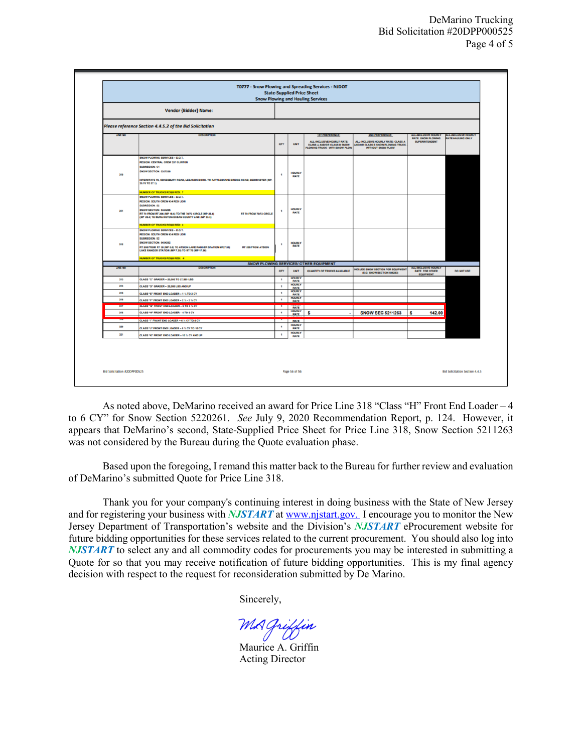|                                     |                                                                                                                                              |                | <b>State-Supplied Price Sheet</b>                                                                                                                                                                                                       | T0777 - Snow Plowing and Spreading Services - NJDOT<br><b>Snow Plowing and Hauling Services</b> |                                                                        |                                           |                                       |  |
|-------------------------------------|----------------------------------------------------------------------------------------------------------------------------------------------|----------------|-----------------------------------------------------------------------------------------------------------------------------------------------------------------------------------------------------------------------------------------|-------------------------------------------------------------------------------------------------|------------------------------------------------------------------------|-------------------------------------------|---------------------------------------|--|
|                                     | <b>Vendor {Bidder} Name:</b>                                                                                                                 |                |                                                                                                                                                                                                                                         |                                                                                                 |                                                                        |                                           |                                       |  |
|                                     | Please reference Section 4.4.5.2 of the Bid Solicitation                                                                                     |                |                                                                                                                                                                                                                                         |                                                                                                 |                                                                        |                                           |                                       |  |
| <b>LINE NO</b>                      | <b>DESCRIPTION</b>                                                                                                                           |                | ALL-INCLUSIVE HOURLY<br>ALL-INCLUSIVE HOURLY<br><b>1ST PREFERENCE:</b><br>2ND PREFERENCE:<br>RATE SNOW PLOWING<br><b>RATE HAULING ONLY</b><br>ALL-INCLUSIVE HOURLY RATE: CLASS A<br>ALL-INCLUSIVE HOURLY RATE:<br><b>SUPERINTENDENT</b> |                                                                                                 |                                                                        |                                           |                                       |  |
|                                     |                                                                                                                                              | arr            | <b>UNIT</b>                                                                                                                                                                                                                             | <b>CLASS A AND/OR CLASS B SNOW</b><br>PLOWING TRUCK - WITH SNOW PLOW                            | ANDIOR CLASS B SNOW PLOWING TRUCK<br>WITHOUT SNOW PLOW                 |                                           |                                       |  |
|                                     | SNOW PLOWING SERVICES - D.O.T.<br><b>REGION: CENTRAL CREW 337 CLINTON</b>                                                                    |                |                                                                                                                                                                                                                                         |                                                                                                 |                                                                        |                                           |                                       |  |
|                                     | <b>SUBREGION: C1</b>                                                                                                                         |                |                                                                                                                                                                                                                                         |                                                                                                 |                                                                        |                                           |                                       |  |
| 310                                 | SNOW SECTION: 5337266                                                                                                                        |                | <b>HOURLY</b>                                                                                                                                                                                                                           |                                                                                                 |                                                                        |                                           |                                       |  |
|                                     | INTERSTATE 78, COKESBURY ROAD, LEBANON BORO. TO RATTLESNAKE BRIDGE ROAD, BEDMINSTER (MP.                                                     |                | <b>RATE</b>                                                                                                                                                                                                                             |                                                                                                 |                                                                        |                                           |                                       |  |
|                                     | 20.78 TO 27.11                                                                                                                               |                |                                                                                                                                                                                                                                         |                                                                                                 |                                                                        |                                           |                                       |  |
|                                     | <b>NUMBER OF TRUCKS REQUIRED: 7</b>                                                                                                          |                |                                                                                                                                                                                                                                         |                                                                                                 |                                                                        |                                           |                                       |  |
|                                     | SNOW PLOWING SERVICES - D.O.T.<br>REGION: SOUTH CREW 434 RED LION                                                                            |                |                                                                                                                                                                                                                                         |                                                                                                 |                                                                        |                                           |                                       |  |
|                                     | SUBREGION: 82                                                                                                                                |                |                                                                                                                                                                                                                                         |                                                                                                 |                                                                        |                                           |                                       |  |
| 311                                 | SNOW SECTION: 5434265<br>RT 70 FROM RT 206 (MP 18.6) TO THE 70/72 CIRCLE (MP 26.4)<br><b>RT 70 FROM 70/72 CIRCLE</b>                         | ٠              | <b>HOURLY</b><br>RATE                                                                                                                                                                                                                   |                                                                                                 |                                                                        |                                           |                                       |  |
|                                     | (MP 26.4) TO BURLINGTON/OCEAN COUNTY LINE (MP 33.5)                                                                                          |                |                                                                                                                                                                                                                                         |                                                                                                 |                                                                        |                                           |                                       |  |
|                                     | <b>NUMBER OF TRUCKS REQUIRED: 4</b>                                                                                                          |                |                                                                                                                                                                                                                                         |                                                                                                 |                                                                        |                                           |                                       |  |
|                                     | SNOW PLOWING SERVICES - D.O.T.                                                                                                               |                |                                                                                                                                                                                                                                         |                                                                                                 |                                                                        |                                           |                                       |  |
|                                     | REGION: SOUTH CREW 434 RED LION<br>SUBREGION: 82                                                                                             |                |                                                                                                                                                                                                                                         |                                                                                                 |                                                                        |                                           |                                       |  |
| 312                                 | <b>SNOW SECTION: 5434262</b>                                                                                                                 | ٠              | <b>HOURLY</b>                                                                                                                                                                                                                           |                                                                                                 |                                                                        |                                           |                                       |  |
|                                     | RT 206 FROM RT 30 (MP 0.0) TO ATSION LAKE RANGER STATION MP(7.35)<br>RT 206 FROM ATSION<br>LAKE RANGER STATION (MP 7.35) TO RT 70 (MP 17.66) |                | RATE                                                                                                                                                                                                                                    |                                                                                                 |                                                                        |                                           |                                       |  |
|                                     | <b>NUMBER OF TRUCKS REQUIRED: 4</b>                                                                                                          |                |                                                                                                                                                                                                                                         |                                                                                                 |                                                                        |                                           |                                       |  |
| <b>LINE NO</b>                      | <b>DESCRIPTION</b>                                                                                                                           |                |                                                                                                                                                                                                                                         | <b>SNOW PLOWING SERVICES/ OTHER EQUIPMENT</b>                                                   |                                                                        | ALL-INCLUSIVE HOURLY                      |                                       |  |
|                                     |                                                                                                                                              | arv            | UNIT<br><b>HOURLY</b>                                                                                                                                                                                                                   | <b>QUANTITY OF TRUCKS AVAILABLE</b>                                                             | <b>NCLUDE SNOW SECTION FOR EQUIPMENT</b><br>(E.G. SNOW SECTION 546263) | <b>RATE FOR OTHER</b><br><b>EQUIPMENT</b> | DO NOT USE                            |  |
| 313                                 | CLASS "C" GRADER - 20,000 TO 27,999 LBS                                                                                                      | $\blacksquare$ | RATE<br><b>HOURLY</b>                                                                                                                                                                                                                   |                                                                                                 |                                                                        |                                           |                                       |  |
| 314                                 | CLASS "D" GRADER - 28,000 LBS AND UP                                                                                                         | ٠              | <b>RATE</b><br><b>HOURLY</b>                                                                                                                                                                                                            |                                                                                                 |                                                                        |                                           |                                       |  |
| 315                                 | CLASS "E" FRONT END LOADER - 1 % TO 2 CY                                                                                                     | $\blacksquare$ | RATE<br><b>HOURLY</b>                                                                                                                                                                                                                   |                                                                                                 |                                                                        |                                           |                                       |  |
| 316                                 | CLASS "F" FRONT END LOADER - 2 % - 2 % CY                                                                                                    | $\,$           | RATE                                                                                                                                                                                                                                    |                                                                                                 |                                                                        |                                           |                                       |  |
| 317                                 | ULADD "O" FRUNT END LUADER - 3 TO 3 TEST                                                                                                     | ×              | <b>RATE</b><br><b>HOURLY</b>                                                                                                                                                                                                            |                                                                                                 |                                                                        |                                           |                                       |  |
| 318                                 | CLASS "H" FRONT END LOADER - 4 TO 6 CY                                                                                                       | ٠              | <b>RATE</b>                                                                                                                                                                                                                             | S                                                                                               | <b>SNOW SEC 5211263</b>                                                | 142.00<br>s                               |                                       |  |
|                                     | CLASS "T" FRONT END LOADER - 6 % CY TO 8 CY                                                                                                  |                | RATE                                                                                                                                                                                                                                    |                                                                                                 |                                                                        |                                           |                                       |  |
| 320                                 | CLASS "J" FRONT END LOADER - 8 % CY TO 10 CY                                                                                                 | ٠              | <b>HOURLY</b><br>RATE                                                                                                                                                                                                                   |                                                                                                 |                                                                        |                                           |                                       |  |
| 321                                 | CLASS "K" FRONT END LOADER - 10 % CY AND UP                                                                                                  | ٠              | <b>HOURLY</b><br><b>RATE</b>                                                                                                                                                                                                            |                                                                                                 |                                                                        |                                           |                                       |  |
|                                     |                                                                                                                                              |                |                                                                                                                                                                                                                                         |                                                                                                 |                                                                        |                                           |                                       |  |
| <b>Bid Solicitation #20DPP00525</b> |                                                                                                                                              |                | Page 56 of 56                                                                                                                                                                                                                           |                                                                                                 |                                                                        |                                           | <b>Bid Solicitation Section 4.4.5</b> |  |

As noted above, DeMarino received an award for Price Line 318 "Class "H" Front End Loader – 4 to 6 CY" for Snow Section 5220261. *See* July 9, 2020 Recommendation Report, p. 124. However, it appears that DeMarino's second, State-Supplied Price Sheet for Price Line 318, Snow Section 5211263 was not considered by the Bureau during the Quote evaluation phase.

Based upon the foregoing, I remand this matter back to the Bureau for further review and evaluation of DeMarino's submitted Quote for Price Line 318.

Thank you for your company's continuing interest in doing business with the State of New Jersey and for registering your business with *NJSTART* a[t www.njstart.gov.](http://www.njstart.gov/) I encourage you to monitor the New Jersey Department of Transportation's website and the Division's *NJSTART* eProcurement website for future bidding opportunities for these services related to the current procurement. You should also log into *NJSTART* to select any and all commodity codes for procurements you may be interested in submitting a Quote for so that you may receive notification of future bidding opportunities. This is my final agency decision with respect to the request for reconsideration submitted by De Marino.

Sincerely,

MA Griffin

 Maurice A. Griffin Acting Director